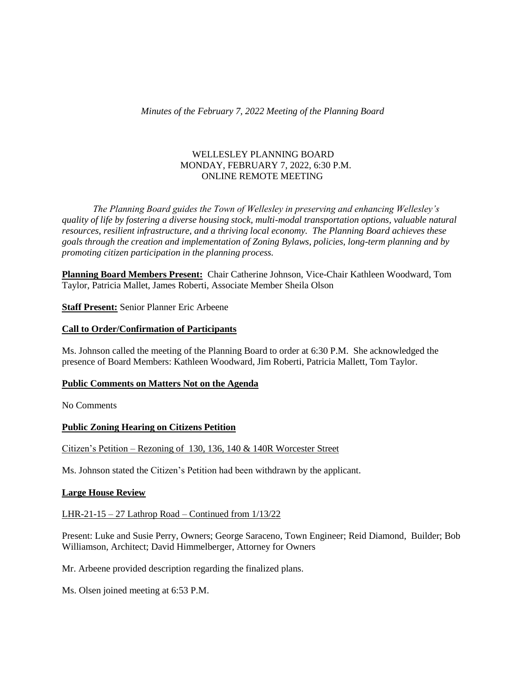*Minutes of the February 7, 2022 Meeting of the Planning Board* 

# WELLESLEY PLANNING BOARD MONDAY, FEBRUARY 7, 2022, 6:30 P.M. ONLINE REMOTE MEETING

*The Planning Board guides the Town of Wellesley in preserving and enhancing Wellesley's quality of life by fostering a diverse housing stock, multi-modal transportation options, valuable natural resources, resilient infrastructure, and a thriving local economy. The Planning Board achieves these goals through the creation and implementation of Zoning Bylaws, policies, long-term planning and by promoting citizen participation in the planning process.*

**Planning Board Members Present:** Chair Catherine Johnson, Vice-Chair Kathleen Woodward, Tom Taylor, Patricia Mallet, James Roberti, Associate Member Sheila Olson

**Staff Present:** Senior Planner Eric Arbeene

# **Call to Order/Confirmation of Participants**

Ms. Johnson called the meeting of the Planning Board to order at 6:30 P.M. She acknowledged the presence of Board Members: Kathleen Woodward, Jim Roberti, Patricia Mallett, Tom Taylor.

# **Public Comments on Matters Not on the Agenda**

No Comments

# **Public Zoning Hearing on Citizens Petition**

Citizen's Petition – Rezoning of 130, 136, 140 & 140R Worcester Street

Ms. Johnson stated the Citizen's Petition had been withdrawn by the applicant.

#### **Large House Review**

LHR-21-15 – 27 Lathrop Road – Continued from  $1/13/22$ 

Present: Luke and Susie Perry, Owners; George Saraceno, Town Engineer; Reid Diamond, Builder; Bob Williamson, Architect; David Himmelberger, Attorney for Owners

Mr. Arbeene provided description regarding the finalized plans.

Ms. Olsen joined meeting at 6:53 P.M.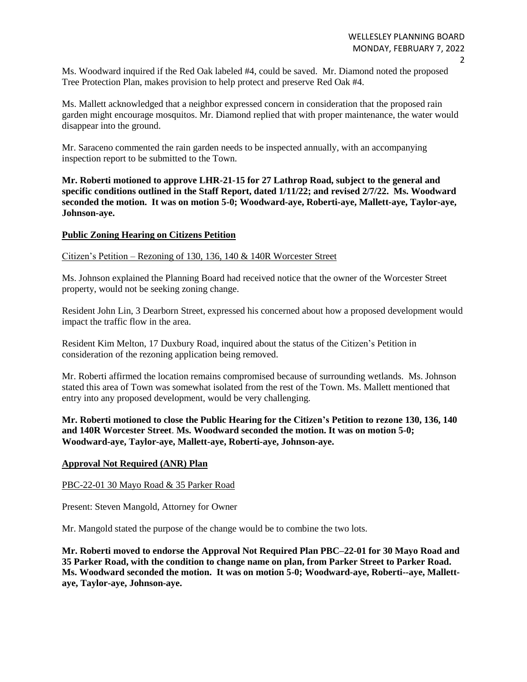Ms. Woodward inquired if the Red Oak labeled #4, could be saved. Mr. Diamond noted the proposed Tree Protection Plan, makes provision to help protect and preserve Red Oak #4.

Ms. Mallett acknowledged that a neighbor expressed concern in consideration that the proposed rain garden might encourage mosquitos. Mr. Diamond replied that with proper maintenance, the water would disappear into the ground.

Mr. Saraceno commented the rain garden needs to be inspected annually, with an accompanying inspection report to be submitted to the Town.

**Mr. Roberti motioned to approve LHR-21-15 for 27 Lathrop Road, subject to the general and specific conditions outlined in the Staff Report, dated 1/11/22; and revised 2/7/22. Ms. Woodward seconded the motion. It was on motion 5-0; Woodward-aye, Roberti-aye, Mallett-aye, Taylor-aye, Johnson-aye.**

## **Public Zoning Hearing on Citizens Petition**

#### Citizen's Petition – Rezoning of 130, 136, 140 & 140R Worcester Street

Ms. Johnson explained the Planning Board had received notice that the owner of the Worcester Street property, would not be seeking zoning change.

Resident John Lin, 3 Dearborn Street, expressed his concerned about how a proposed development would impact the traffic flow in the area.

Resident Kim Melton, 17 Duxbury Road, inquired about the status of the Citizen's Petition in consideration of the rezoning application being removed.

Mr. Roberti affirmed the location remains compromised because of surrounding wetlands. Ms. Johnson stated this area of Town was somewhat isolated from the rest of the Town. Ms. Mallett mentioned that entry into any proposed development, would be very challenging.

**Mr. Roberti motioned to close the Public Hearing for the Citizen's Petition to rezone 130, 136, 140 and 140R Worcester Street**. **Ms. Woodward seconded the motion. It was on motion 5-0; Woodward-aye, Taylor-aye, Mallett-aye, Roberti-aye, Johnson-aye.**

#### **Approval Not Required (ANR) Plan**

# PBC-22-01 30 Mayo Road & 35 Parker Road

Present: Steven Mangold, Attorney for Owner

Mr. Mangold stated the purpose of the change would be to combine the two lots.

**Mr. Roberti moved to endorse the Approval Not Required Plan PBC–22-01 for 30 Mayo Road and 35 Parker Road, with the condition to change name on plan, from Parker Street to Parker Road. Ms. Woodward seconded the motion. It was on motion 5-0; Woodward-aye, Roberti--aye, Mallettaye, Taylor-aye, Johnson-aye.**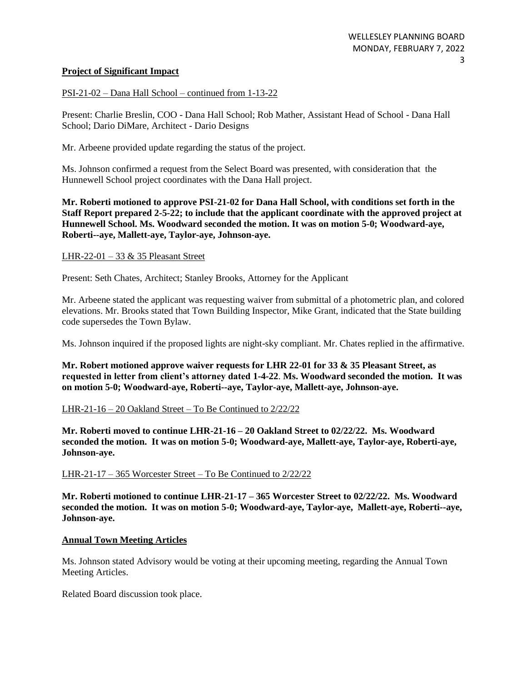## **Project of Significant Impact**

## PSI-21-02 – Dana Hall School – continued from 1-13-22

Present: Charlie Breslin, COO - Dana Hall School; Rob Mather, Assistant Head of School - Dana Hall School; Dario DiMare, Architect - Dario Designs

Mr. Arbeene provided update regarding the status of the project.

Ms. Johnson confirmed a request from the Select Board was presented, with consideration that the Hunnewell School project coordinates with the Dana Hall project.

**Mr. Roberti motioned to approve PSI-21-02 for Dana Hall School, with conditions set forth in the Staff Report prepared 2-5-22; to include that the applicant coordinate with the approved project at Hunnewell School. Ms. Woodward seconded the motion. It was on motion 5-0; Woodward-aye, Roberti--aye, Mallett-aye, Taylor-aye, Johnson-aye.**

## LHR-22-01 – 33 & 35 Pleasant Street

Present: Seth Chates, Architect; Stanley Brooks, Attorney for the Applicant

Mr. Arbeene stated the applicant was requesting waiver from submittal of a photometric plan, and colored elevations. Mr. Brooks stated that Town Building Inspector, Mike Grant, indicated that the State building code supersedes the Town Bylaw.

Ms. Johnson inquired if the proposed lights are night-sky compliant. Mr. Chates replied in the affirmative.

**Mr. Robert motioned approve waiver requests for LHR 22-01 for 33 & 35 Pleasant Street, as requested in letter from client's attorney dated 1-4-22**. **Ms. Woodward seconded the motion. It was on motion 5-0; Woodward-aye, Roberti--aye, Taylor-aye, Mallett-aye, Johnson-aye.**

#### LHR-21-16 – 20 Oakland Street – To Be Continued to 2/22/22

**Mr. Roberti moved to continue LHR-21-16 – 20 Oakland Street to 02/22/22. Ms. Woodward seconded the motion. It was on motion 5-0; Woodward-aye, Mallett-aye, Taylor-aye, Roberti-aye, Johnson-aye.**

# LHR-21-17 – 365 Worcester Street – To Be Continued to 2/22/22

**Mr. Roberti motioned to continue LHR-21-17 – 365 Worcester Street to 02/22/22. Ms. Woodward seconded the motion. It was on motion 5-0; Woodward-aye, Taylor-aye, Mallett-aye, Roberti--aye, Johnson-aye.**

## **Annual Town Meeting Articles**

Ms. Johnson stated Advisory would be voting at their upcoming meeting, regarding the Annual Town Meeting Articles.

Related Board discussion took place.